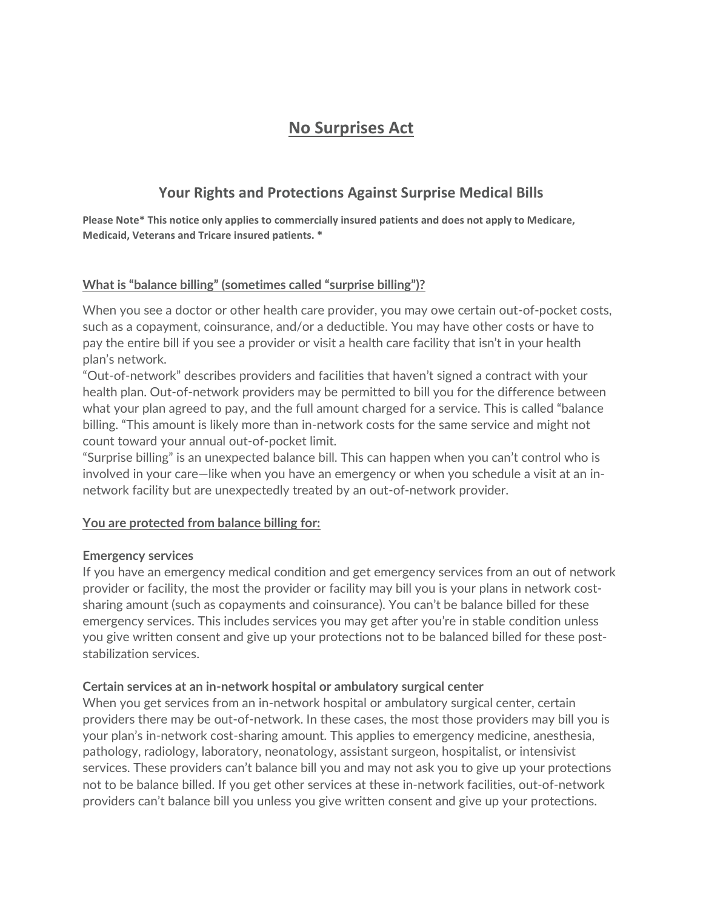# **No Surprises Act**

# **Your Rights and Protections Against Surprise Medical Bills**

**Please Note\* This notice only applies to commercially insured patients and does not apply to Medicare, Medicaid, Veterans and Tricare insured patients. \***

# **What is "balance billing" (sometimes called "surprise billing")?**

When you see a doctor or other health care provider, you may owe certain out-of-pocket costs, such as a copayment, coinsurance, and/or a deductible. You may have other costs or have to pay the entire bill if you see a provider or visit a health care facility that isn't in your health plan's network.

"Out-of-network" describes providers and facilities that haven't signed a contract with your health plan. Out-of-network providers may be permitted to bill you for the difference between what your plan agreed to pay, and the full amount charged for a service. This is called "balance billing. "This amount is likely more than in-network costs for the same service and might not count toward your annual out-of-pocket limit.

"Surprise billing" is an unexpected balance bill. This can happen when you can't control who is involved in your care—like when you have an emergency or when you schedule a visit at an innetwork facility but are unexpectedly treated by an out-of-network provider.

# **You are protected from balance billing for:**

#### **Emergency services**

If you have an emergency medical condition and get emergency services from an out of network provider or facility, the most the provider or facility may bill you is your plans in network costsharing amount (such as copayments and coinsurance). You can't be balance billed for these emergency services. This includes services you may get after you're in stable condition unless you give written consent and give up your protections not to be balanced billed for these poststabilization services.

#### **Certain services at an in-network hospital or ambulatory surgical center**

When you get services from an in-network hospital or ambulatory surgical center, certain providers there may be out-of-network. In these cases, the most those providers may bill you is your plan's in-network cost-sharing amount. This applies to emergency medicine, anesthesia, pathology, radiology, laboratory, neonatology, assistant surgeon, hospitalist, or intensivist services. These providers can't balance bill you and may not ask you to give up your protections not to be balance billed. If you get other services at these in-network facilities, out-of-network providers can't balance bill you unless you give written consent and give up your protections.